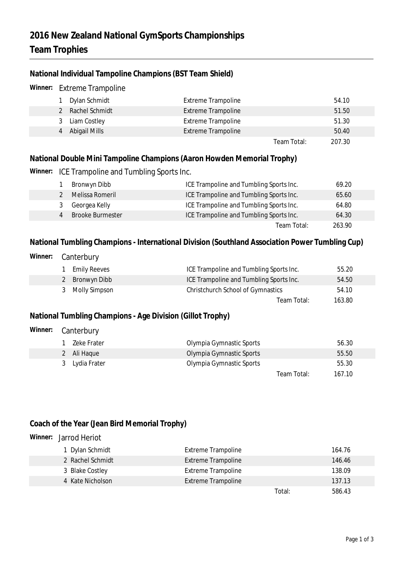### **2016 New Zealand National GymSports Championships Team Trophies**

### **National Individual Tampoline Champions (BST Team Shield)**

| Winner:                                                                                                                       | <b>Extreme Trampoline</b> |                         |                                         |             |        |  |
|-------------------------------------------------------------------------------------------------------------------------------|---------------------------|-------------------------|-----------------------------------------|-------------|--------|--|
|                                                                                                                               |                           | Dylan Schmidt           | <b>Extreme Trampoline</b>               |             | 54.10  |  |
|                                                                                                                               | 2                         | Rachel Schmidt          | <b>Extreme Trampoline</b>               |             | 51.50  |  |
|                                                                                                                               | 3                         | Liam Costley            | <b>Extreme Trampoline</b>               |             | 51.30  |  |
|                                                                                                                               | 4                         | Abigail Mills           | <b>Extreme Trampoline</b>               |             | 50.40  |  |
|                                                                                                                               |                           |                         |                                         | Team Total: | 207.30 |  |
| National Double Mini Tampoline Champions (Aaron Howden Memorial Trophy)<br>Winner:<br>ICE Trampoline and Tumbling Sports Inc. |                           |                         |                                         |             |        |  |
|                                                                                                                               |                           | Bronwyn Dibb            | ICE Trampoline and Tumbling Sports Inc. |             | 69.20  |  |
|                                                                                                                               | $\mathfrak{D}$            | Melissa Romeril         | ICE Trampoline and Tumbling Sports Inc. |             | 65.60  |  |
|                                                                                                                               | 3                         | Georgea Kelly           | ICE Trampoline and Tumbling Sports Inc. |             | 64.80  |  |
|                                                                                                                               | $\overline{4}$            | <b>Brooke Burmester</b> | ICE Trampoline and Tumbling Sports Inc. |             | 64.30  |  |
|                                                                                                                               |                           |                         |                                         | Team Total: | 263.90 |  |

**National Tumbling Champions - International Division (Southland Association Power Tumbling Cup)**

| Winner:                                                    | Canterbury                             |                                         |              |  |  |  |  |
|------------------------------------------------------------|----------------------------------------|-----------------------------------------|--------------|--|--|--|--|
|                                                            | <b>Emily Reeves</b>                    | ICE Trampoline and Tumbling Sports Inc. | 55.20        |  |  |  |  |
|                                                            | Bronwyn Dibb<br>2                      | ICE Trampoline and Tumbling Sports Inc. | 54.50        |  |  |  |  |
|                                                            | <b>Molly Simpson</b><br>3              | Christchurch School of Gymnastics       | 54.10        |  |  |  |  |
|                                                            |                                        | Team Total:                             | 163.80       |  |  |  |  |
| National Tumbling Champions - Age Division (Gillot Trophy) |                                        |                                         |              |  |  |  |  |
| Winner:                                                    | Canterbury                             |                                         |              |  |  |  |  |
|                                                            | Zeke Frater                            | Olympia Gymnastic Sports                | 56.30        |  |  |  |  |
|                                                            | $\overline{\mathsf{A}}$ li Lloquo<br>ົ | Olympia Cympactic Cportc                | $E E E \cap$ |  |  |  |  |

| 2 Ali Haque    | Olympia Gymnastic Sports | 55.50 |
|----------------|--------------------------|-------|
| 3 Lydia Frater | Olympia Gymnastic Sports | 55.30 |

# **Coach of the Year (Jean Bird Memorial Trophy)**

**Winner:** Jarrod Heriot

| 1 Dylan Schmidt  | Extreme Trampoline        |        | 164.76 |
|------------------|---------------------------|--------|--------|
| 2 Rachel Schmidt | <b>Extreme Trampoline</b> |        | 146.46 |
| 3 Blake Costley  | <b>Extreme Trampoline</b> |        | 138.09 |
| 4 Kate Nicholson | <b>Extreme Trampoline</b> |        | 137.13 |
|                  |                           | Total: | 586.43 |

Team Total: 167.10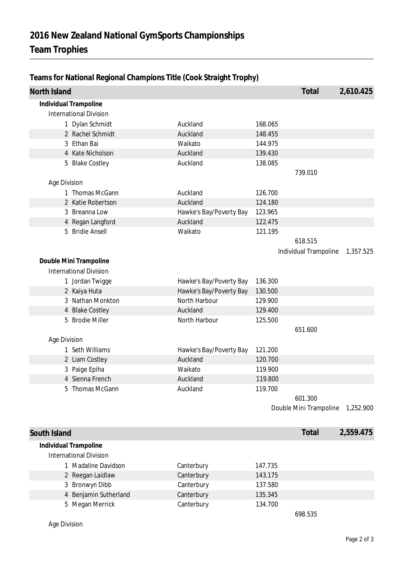| North Island |                               |                         |         | Total                  | 2,610.425 |
|--------------|-------------------------------|-------------------------|---------|------------------------|-----------|
|              | Individual Trampoline         |                         |         |                        |           |
|              | <b>International Division</b> |                         |         |                        |           |
|              | 1 Dylan Schmidt               | Auckland                | 168.065 |                        |           |
|              | 2 Rachel Schmidt              | Auckland                | 148.455 |                        |           |
|              | 3 Ethan Bai                   | Waikato                 | 144.975 |                        |           |
|              | 4 Kate Nicholson              | Auckland                | 139.430 |                        |           |
|              | 5 Blake Costley               | Auckland                | 138.085 |                        |           |
|              |                               |                         |         | 739.010                |           |
| Age Division |                               |                         |         |                        |           |
|              | 1 Thomas McGann               | Auckland                | 126.700 |                        |           |
|              | 2 Katie Robertson             | Auckland                | 124.180 |                        |           |
|              | 3 Breanna Low                 | Hawke's Bay/Poverty Bay | 123.965 |                        |           |
|              | 4 Regan Langford              | Auckland                | 122.475 |                        |           |
|              | 5 Bridie Ansell               | Waikato                 | 121.195 |                        |           |
|              |                               |                         |         | 618.515                |           |
|              |                               |                         |         | Individual Trampoline  | 1,357.525 |
|              | Double Mini Trampoline        |                         |         |                        |           |
|              | <b>International Division</b> |                         |         |                        |           |
|              | 1 Jordan Twigge               | Hawke's Bay/Poverty Bay | 136.300 |                        |           |
|              | 2 Kaiya Huta                  | Hawke's Bay/Poverty Bay | 130.500 |                        |           |
|              | 3 Nathan Monkton              | North Harbour           | 129.900 |                        |           |
|              | 4 Blake Costley               | Auckland                | 129.400 |                        |           |
|              | 5 Brodie Miller               | North Harbour           | 125.500 |                        |           |
|              |                               |                         |         | 651.600                |           |
| Age Division |                               |                         |         |                        |           |
|              | 1 Seth Williams               | Hawke's Bay/Poverty Bay | 121.200 |                        |           |
|              | 2 Liam Costley                | Auckland                | 120.700 |                        |           |
|              | 3 Paige Epiha                 | Waikato                 | 119.900 |                        |           |
|              | 4 Sienna French               | Auckland                | 119.800 |                        |           |
|              | 5 Thomas McGann               | Auckland                | 119.700 |                        |           |
|              |                               |                         |         | 601.300                |           |
|              |                               |                         |         | Double Mini Trampoline | 1,252.900 |
|              |                               |                         |         |                        |           |
| South Island |                               |                         |         | Total                  | 2,559.475 |
|              | Individual Trampoline         |                         |         |                        |           |
|              | <b>International Division</b> |                         |         |                        |           |
|              | 1 Madaline Davidson           | Canterbury              | 147.735 |                        |           |
|              | 2 Reegan Laidlaw              | Canterbury              | 143.175 |                        |           |
|              | 3 Bronwyn Dibb                | Canterbury              | 137.580 |                        |           |
|              | 4 Benjamin Sutherland         | Canterbury              | 135.345 |                        |           |
|              | 5 Megan Merrick               | Canterbury              | 134.700 |                        |           |
|              |                               |                         |         | 698.535                |           |

### **Teams for National Regional Champions Title (Cook Straight Trophy)**

Age Division